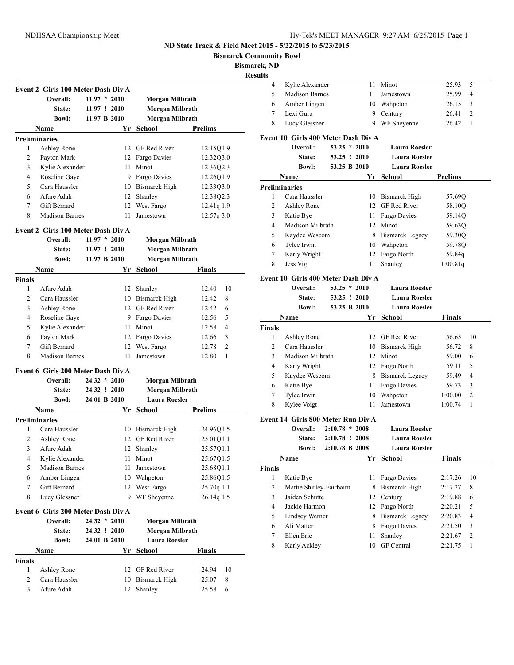**Bismarck Community Bowl**

**Bismarck, ND**

**<u>esu</u>** 

|                              | Event 2 Girls 100 Meter Dash Div A |                |          |                                      |                           |
|------------------------------|------------------------------------|----------------|----------|--------------------------------------|---------------------------|
|                              | Overall:                           | $11.97 * 2010$ |          | Morgan Milbrath                      |                           |
|                              | State:                             | 11.97 : 2010   |          | Morgan Milbrath                      |                           |
|                              | <b>Bowl:</b>                       | 11.97 B 2010   |          | Morgan Milbrath                      |                           |
|                              | <b>Name</b>                        |                | Yr       | School                               | <b>Prelims</b>            |
|                              | <b>Preliminaries</b>               |                |          |                                      |                           |
| 1                            | Ashley Rone                        |                |          | 12 GF Red River                      | 12.15Q1.9                 |
| 2                            | Payton Mark                        |                |          | 12 Fargo Davies                      | 12.32Q3.0                 |
| 3                            | Kylie Alexander                    |                | 11       | Minot                                | 12.36Q2.3                 |
| 4                            | Roseline Gaye                      |                | 9.       | Fargo Davies                         | 12.2601.9                 |
| 5                            | Cara Haussler                      |                | 10       | <b>Bismarck High</b>                 | 12.33Q3.0                 |
| 6                            | Afure Adah                         |                | 12       | Shanley                              | 12.38Q2.3                 |
| 7                            | Gift Bernard                       |                | 12       | West Fargo                           | 12.41q 1.9                |
| 8                            | <b>Madison Barnes</b>              |                | 11       | Jamestown                            | 12.57q 3.0                |
|                              | Event 2 Girls 100 Meter Dash Div A |                |          |                                      |                           |
|                              | Overall:                           | $11.97 * 2010$ |          | Morgan Milbrath                      |                           |
|                              | State:                             | 11.97 ! 2010   |          | Morgan Milbrath                      |                           |
|                              | <b>Bowl:</b>                       | 11.97 B 2010   |          | Morgan Milbrath                      |                           |
|                              | Name                               |                | Yr       | <b>School</b>                        | Finals                    |
| <b>Finals</b>                |                                    |                |          |                                      |                           |
| 1                            | Afure Adah                         |                | 12       | Shanley                              | 12.40<br>10               |
| 2                            | Cara Haussler                      |                |          | 10 Bismarck High                     | 8<br>12.42                |
| 3                            | Ashley Rone                        |                |          | 12 GF Red River                      | 12.42<br>6                |
| 4                            | Roseline Gaye                      |                | 9        | Fargo Davies                         | 12.56<br>5                |
| 5                            | Kylie Alexander                    |                | 11       | Minot                                | 12.58<br>4                |
| 6                            | Payton Mark                        |                | 12       | Fargo Davies                         | 12.66<br>3                |
| 7                            | Gift Bernard                       |                | 12       | West Fargo                           | 2<br>12.78                |
| 8                            | <b>Madison Barnes</b>              |                | 11       | Jamestown                            | 1<br>12.80                |
|                              | Event 6 Girls 200 Meter Dash Div A |                |          |                                      |                           |
|                              | Overall:                           | $24.32 * 2010$ |          | Morgan Milbrath                      |                           |
|                              | State:                             | 24.32 ! 2010   |          | Morgan Milbrath                      |                           |
|                              | <b>Bowl:</b>                       | 24.01 B 2010   |          | <b>Laura Roesler</b>                 |                           |
|                              | Name                               |                | Yr       | School                               | <b>Prelims</b>            |
|                              | <b>Preliminaries</b>               |                |          |                                      |                           |
| 1                            | Cara Haussler                      |                |          | 10 Bismarck High                     | 24.96Q1.5                 |
| 2                            | Ashley Rone                        |                |          | 12 GF Red River                      | 25.01Q1.1                 |
| 3                            | Afure Adah                         |                |          | 12 Shanley                           | 25.57Q1.1                 |
| 4                            | Kylie Alexander                    |                | 11       | Minot                                | 25.67Q1.5                 |
| 5                            | <b>Madison Barnes</b>              |                | 11       | Jamestown                            | 25.68Q1.1                 |
| 6                            | Amber Lingen                       |                | 10       | Wahpeton                             | 25.86Q1.5                 |
| 7                            | Gift Bernard                       |                | 12       | West Fargo                           | 25.70q 1.1                |
| 8                            | Lucy Glessner                      |                | 9        | WF Sheyenne                          | 26.14q 1.5                |
|                              | Event 6 Girls 200 Meter Dash Div A |                |          |                                      |                           |
|                              | Overall:                           | $24.32 * 2010$ |          | Morgan Milbrath                      |                           |
|                              | State:                             | 24.32 ! 2010   |          | Morgan Milbrath                      |                           |
|                              | <b>Bowl:</b>                       | 24.01 B 2010   |          | <b>Laura Roesler</b>                 |                           |
|                              |                                    |                | Yr       | School                               | <b>Finals</b>             |
|                              |                                    |                |          |                                      |                           |
|                              | Name                               |                |          |                                      |                           |
| <b>Finals</b>                |                                    |                |          |                                      |                           |
| $\mathbf{1}$<br>$\mathbf{2}$ | Ashley Rone<br>Cara Haussler       |                | 12<br>10 | GF Red River<br><b>Bismarck High</b> | 24.94<br>10<br>25.07<br>8 |

| . n, 19. d<br>ılts |                                                        |                  |    |                        |               |                |
|--------------------|--------------------------------------------------------|------------------|----|------------------------|---------------|----------------|
| 4                  | Kylie Alexander                                        |                  | 11 | Minot                  | 25.93         | 5              |
| 5                  | <b>Madison Barnes</b>                                  |                  | 11 | Jamestown              | 25.99         | 4              |
| 6                  | Amber Lingen                                           |                  | 10 | Wahpeton               | 26.15         | 3              |
| 7                  | Lexi Gura                                              |                  | 9  | Century                | 26.41         | 2              |
| 8                  | Lucy Glessner                                          |                  |    | 9 WF Sheyenne          | 26.42         | 1              |
|                    | Event 10 Girls 400 Meter Dash Div A                    |                  |    |                        |               |                |
|                    | Overall:                                               | $53.25 * 2010$   |    | <b>Laura Roesler</b>   |               |                |
|                    | <b>State:</b>                                          | 53.25 ! 2010     |    | <b>Laura Roesler</b>   |               |                |
|                    | <b>Rowl:</b>                                           | 53.25 B 2010     |    | <b>Laura Roesler</b>   |               |                |
|                    | Name                                                   |                  | Yr | School                 | Prelims       |                |
|                    | <b>Preliminaries</b>                                   |                  |    |                        |               |                |
| 1                  | Cara Haussler                                          |                  |    | 10 Bismarck High       | 57.69Q        |                |
| 2                  | Ashley Rone                                            |                  |    | 12 GF Red River        | 58.10Q        |                |
| 3                  | Katie Bye                                              |                  |    | 11 Fargo Davies        | 59.14Q        |                |
| 4                  | Madison Milbrath                                       |                  |    | 12 Minot               | 59.63Q        |                |
| 5                  | Kaydee Wescom                                          |                  |    | 8 Bismarck Legacy      | 59.30Q        |                |
| 6                  | Tylee Irwin                                            |                  | 10 | Wahpeton               | 59.78Q        |                |
| 7                  | Karly Wright                                           |                  | 12 | Fargo North            | 59.84q        |                |
| 8                  | Jess Vig                                               |                  | 11 | Shanley                | 1:00.81q      |                |
|                    |                                                        |                  |    |                        |               |                |
|                    | Event 10 Girls 400 Meter Dash Div A<br><b>Overall:</b> | $53.25 * 2010$   |    | <b>Laura Roesler</b>   |               |                |
|                    | <b>State:</b>                                          | 53.25 ! 2010     |    | <b>Laura Roesler</b>   |               |                |
|                    | <b>Bowl:</b>                                           | 53.25 B 2010     |    | <b>Laura Roesler</b>   |               |                |
|                    | Name                                                   |                  | Yr | School                 | Finals        |                |
| Finals             |                                                        |                  |    |                        |               |                |
| 1                  | Ashley Rone                                            |                  |    | 12 GF Red River        | 56.65         | 10             |
| 2                  | Cara Haussler                                          |                  | 10 | <b>Bismarck High</b>   | 56.72         | 8              |
| 3                  | Madison Milbrath                                       |                  | 12 | Minot                  | 59.00         | 6              |
| 4                  | Karly Wright                                           |                  |    | 12 Fargo North         | 59.11         | 5              |
| 5                  | Kaydee Wescom                                          |                  | 8  | <b>Bismarck Legacy</b> | 59.49         | 4              |
| 6                  | Katie Bye                                              |                  | 11 | Fargo Davies           | 59.73         | 3              |
| 7                  | Tylee Irwin                                            |                  | 10 | Wahpeton               | 1:00.00       | 2              |
| 8                  | Kylee Voigt                                            |                  | 11 | Jamestown              | 1:00.74       | 1              |
|                    | Event 14 Girls 800 Meter Run Div A                     |                  |    |                        |               |                |
|                    | Overall:                                               | $2:10.78 * 2008$ |    | <b>Laura Roesler</b>   |               |                |
|                    | State:                                                 | 2:10.78 ! 2008   |    | <b>Laura Roesler</b>   |               |                |
|                    |                                                        |                  |    |                        |               |                |
|                    |                                                        |                  |    |                        |               |                |
|                    | <b>Bowl:</b>                                           | 2:10.78 B 2008   |    | <b>Laura Roesler</b>   |               |                |
|                    | Name                                                   |                  | Yr | School                 | <b>Finals</b> |                |
| Finals<br>1        | Katie Bye                                              |                  | 11 | Fargo Davies           | 2:17.26       | 10             |
| 2                  | Mattie Shirley-Fairbairn                               |                  | 8  | <b>Bismarck High</b>   | 2:17.27       | 8              |
| 3                  | Jaiden Schutte                                         |                  | 12 | Century                | 2:19.88       | 6              |
| 4                  | Jackie Harmon                                          |                  | 12 | Fargo North            | 2:20.21       | 5              |
| 5                  | Lindsey Werner                                         |                  | 8  | <b>Bismarck Legacy</b> | 2:20.83       | 4              |
| 6                  | Ali Matter                                             |                  | 8  | Fargo Davies           | 2:21.50       | 3              |
| 7                  | Ellen Erie                                             |                  | 11 | Shanley                | 2:21.67       | $\overline{2}$ |
| 8                  | Karly Ackley                                           |                  | 10 | <b>GF</b> Central      | 2:21.75       | 1              |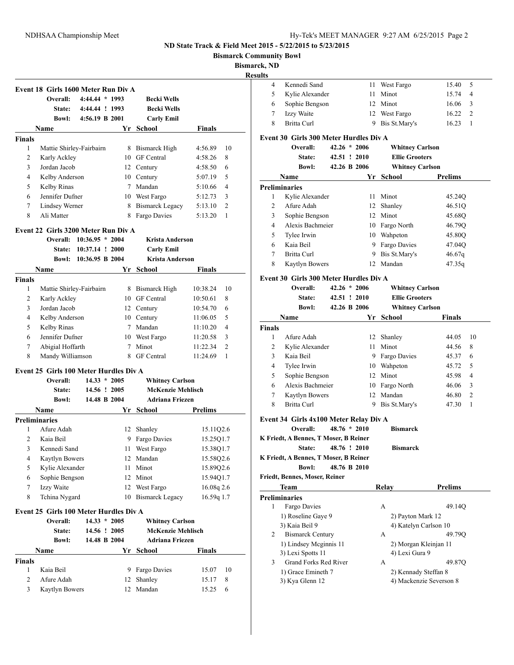**Bismarck Community Bowl**

**Bismarck** 

| Yr School<br>Name<br>Finals<br>Mattie Shirley-Fairbairn<br>8 Bismarck High<br>1<br>4:56.89<br>$\overline{2}$<br>10 GF Central<br>Karly Ackley<br>4:58.26<br>8<br>3<br>Jordan Jacob<br>12 Century<br>4:58.50<br>6<br>$\overline{4}$<br>Kelby Anderson<br>10 Century<br>5<br>5:07.19<br>5<br>Kelby Rinas<br>7 Mandan<br>4<br>5:10.66<br>6<br>Jennifer Dufner<br>10 West Fargo<br>5:12.73<br>3<br>7<br>Lindsey Werner<br>8 Bismarck Legacy<br>$\overline{c}$<br>5:13.10<br>8<br>Ali Matter<br>8 Fargo Davies<br>5:13.20<br>1<br>Overall: 10:36.95 * 2004<br><b>Krista Anderson</b><br>State: 10:37.14 ! 2000<br><b>Carly Emil</b><br><b>Krista Anderson</b><br>Bowl: 10:36.95 B 2004<br>Name<br>Yr School<br>Finals<br>1<br>Mattie Shirley-Fairbairn<br>8 Bismarck High<br>10:38.24<br>$\overline{2}$<br>10 GF Central<br>Karly Ackley<br>10:50.61<br>8<br>3<br>Jordan Jacob<br>12 Century<br>10:54.70<br>6<br>4<br>5<br>Kelby Anderson<br>10 Century<br>11:06.05<br>5<br>Kelby Rinas<br>7 Mandan<br>11:10.20<br>4<br>6<br>Jennifer Dufner<br>10 West Fargo<br>11:20.58<br>3<br>7<br>Abigial Hoffarth<br>7 Minot<br>$\overline{2}$<br>11:22.34<br>8<br>Mandy Williamson<br>8 GF Central<br>11:24.69<br>1<br>Overall:<br>$14.33 * 2005$<br><b>Whitney Carlson</b><br><b>McKenzie Mehlisch</b><br>14.56 ! 2005<br><b>State:</b><br>14.48 B 2004<br><b>Adriana Friezen</b><br><b>Bowl:</b><br>Name<br><b>School</b> School<br>Prelims<br>Afure Adah<br>1<br>12 Shanley<br>15.11Q2.6<br>$\overline{2}$<br>9 Fargo Davies<br>Kaia Beil<br>15.25Q1.7<br>3 Kennedi Sand<br>11 West Fargo<br>15.38Q1.7<br>4<br>Kaytlyn Bowers<br>12 Mandan<br>15.58Q2.6<br>5<br>Kylie Alexander<br>Minot<br>11<br>15.89Q2.6<br>Sophie Bengson<br>12 Minot<br>6<br>15.94Q1.7<br>7<br>Izzy Waite<br>12 West Fargo<br>16.08q 2.6<br>8<br>Tchina Nygard<br>10 Bismarck Legacy<br>16.59g 1.7<br>$14.33 * 2005$<br><b>Whitney Carlson</b><br>Overall:<br><b>McKenzie Mehlisch</b><br>State:<br>14.56 ! 2005<br>14.48 B 2004<br><b>Adriana Friezen</b><br><b>Bowl:</b><br>Yr School<br><b>Finals</b><br>Name<br>9 Fargo Davies<br>1<br>Kaia Beil<br>10<br>15.07 | Event 18 Girls 1600 Meter Run Div A<br>Overall:<br><b>State:</b> | $4:44.44*1993$<br>4:44.44 ! 1993<br>Bowl: 4:56.19 B 2001 | <b>Becki Wells</b><br><b>Becki Wells</b><br><b>Carly Emil</b> |    |
|-------------------------------------------------------------------------------------------------------------------------------------------------------------------------------------------------------------------------------------------------------------------------------------------------------------------------------------------------------------------------------------------------------------------------------------------------------------------------------------------------------------------------------------------------------------------------------------------------------------------------------------------------------------------------------------------------------------------------------------------------------------------------------------------------------------------------------------------------------------------------------------------------------------------------------------------------------------------------------------------------------------------------------------------------------------------------------------------------------------------------------------------------------------------------------------------------------------------------------------------------------------------------------------------------------------------------------------------------------------------------------------------------------------------------------------------------------------------------------------------------------------------------------------------------------------------------------------------------------------------------------------------------------------------------------------------------------------------------------------------------------------------------------------------------------------------------------------------------------------------------------------------------------------------------------------------------------------------------------------------------------------------------------------------------------------------------------------------------------------------------------|------------------------------------------------------------------|----------------------------------------------------------|---------------------------------------------------------------|----|
| Finals<br>Event 22 Girls 3200 Meter Run Div A<br><b>Finals</b><br>Event 25 Girls 100 Meter Hurdles Div A<br><b>Preliminaries</b><br>Event 25 Girls 100 Meter Hurdles Div A<br>Finals                                                                                                                                                                                                                                                                                                                                                                                                                                                                                                                                                                                                                                                                                                                                                                                                                                                                                                                                                                                                                                                                                                                                                                                                                                                                                                                                                                                                                                                                                                                                                                                                                                                                                                                                                                                                                                                                                                                                          |                                                                  |                                                          |                                                               |    |
|                                                                                                                                                                                                                                                                                                                                                                                                                                                                                                                                                                                                                                                                                                                                                                                                                                                                                                                                                                                                                                                                                                                                                                                                                                                                                                                                                                                                                                                                                                                                                                                                                                                                                                                                                                                                                                                                                                                                                                                                                                                                                                                               |                                                                  |                                                          |                                                               |    |
|                                                                                                                                                                                                                                                                                                                                                                                                                                                                                                                                                                                                                                                                                                                                                                                                                                                                                                                                                                                                                                                                                                                                                                                                                                                                                                                                                                                                                                                                                                                                                                                                                                                                                                                                                                                                                                                                                                                                                                                                                                                                                                                               |                                                                  |                                                          |                                                               | 10 |
|                                                                                                                                                                                                                                                                                                                                                                                                                                                                                                                                                                                                                                                                                                                                                                                                                                                                                                                                                                                                                                                                                                                                                                                                                                                                                                                                                                                                                                                                                                                                                                                                                                                                                                                                                                                                                                                                                                                                                                                                                                                                                                                               |                                                                  |                                                          |                                                               |    |
|                                                                                                                                                                                                                                                                                                                                                                                                                                                                                                                                                                                                                                                                                                                                                                                                                                                                                                                                                                                                                                                                                                                                                                                                                                                                                                                                                                                                                                                                                                                                                                                                                                                                                                                                                                                                                                                                                                                                                                                                                                                                                                                               |                                                                  |                                                          |                                                               |    |
|                                                                                                                                                                                                                                                                                                                                                                                                                                                                                                                                                                                                                                                                                                                                                                                                                                                                                                                                                                                                                                                                                                                                                                                                                                                                                                                                                                                                                                                                                                                                                                                                                                                                                                                                                                                                                                                                                                                                                                                                                                                                                                                               |                                                                  |                                                          |                                                               |    |
|                                                                                                                                                                                                                                                                                                                                                                                                                                                                                                                                                                                                                                                                                                                                                                                                                                                                                                                                                                                                                                                                                                                                                                                                                                                                                                                                                                                                                                                                                                                                                                                                                                                                                                                                                                                                                                                                                                                                                                                                                                                                                                                               |                                                                  |                                                          |                                                               |    |
|                                                                                                                                                                                                                                                                                                                                                                                                                                                                                                                                                                                                                                                                                                                                                                                                                                                                                                                                                                                                                                                                                                                                                                                                                                                                                                                                                                                                                                                                                                                                                                                                                                                                                                                                                                                                                                                                                                                                                                                                                                                                                                                               |                                                                  |                                                          |                                                               |    |
|                                                                                                                                                                                                                                                                                                                                                                                                                                                                                                                                                                                                                                                                                                                                                                                                                                                                                                                                                                                                                                                                                                                                                                                                                                                                                                                                                                                                                                                                                                                                                                                                                                                                                                                                                                                                                                                                                                                                                                                                                                                                                                                               |                                                                  |                                                          |                                                               |    |
|                                                                                                                                                                                                                                                                                                                                                                                                                                                                                                                                                                                                                                                                                                                                                                                                                                                                                                                                                                                                                                                                                                                                                                                                                                                                                                                                                                                                                                                                                                                                                                                                                                                                                                                                                                                                                                                                                                                                                                                                                                                                                                                               |                                                                  |                                                          |                                                               |    |
|                                                                                                                                                                                                                                                                                                                                                                                                                                                                                                                                                                                                                                                                                                                                                                                                                                                                                                                                                                                                                                                                                                                                                                                                                                                                                                                                                                                                                                                                                                                                                                                                                                                                                                                                                                                                                                                                                                                                                                                                                                                                                                                               |                                                                  |                                                          |                                                               |    |
|                                                                                                                                                                                                                                                                                                                                                                                                                                                                                                                                                                                                                                                                                                                                                                                                                                                                                                                                                                                                                                                                                                                                                                                                                                                                                                                                                                                                                                                                                                                                                                                                                                                                                                                                                                                                                                                                                                                                                                                                                                                                                                                               |                                                                  |                                                          |                                                               |    |
|                                                                                                                                                                                                                                                                                                                                                                                                                                                                                                                                                                                                                                                                                                                                                                                                                                                                                                                                                                                                                                                                                                                                                                                                                                                                                                                                                                                                                                                                                                                                                                                                                                                                                                                                                                                                                                                                                                                                                                                                                                                                                                                               |                                                                  |                                                          |                                                               |    |
|                                                                                                                                                                                                                                                                                                                                                                                                                                                                                                                                                                                                                                                                                                                                                                                                                                                                                                                                                                                                                                                                                                                                                                                                                                                                                                                                                                                                                                                                                                                                                                                                                                                                                                                                                                                                                                                                                                                                                                                                                                                                                                                               |                                                                  |                                                          |                                                               |    |
|                                                                                                                                                                                                                                                                                                                                                                                                                                                                                                                                                                                                                                                                                                                                                                                                                                                                                                                                                                                                                                                                                                                                                                                                                                                                                                                                                                                                                                                                                                                                                                                                                                                                                                                                                                                                                                                                                                                                                                                                                                                                                                                               |                                                                  |                                                          |                                                               |    |
|                                                                                                                                                                                                                                                                                                                                                                                                                                                                                                                                                                                                                                                                                                                                                                                                                                                                                                                                                                                                                                                                                                                                                                                                                                                                                                                                                                                                                                                                                                                                                                                                                                                                                                                                                                                                                                                                                                                                                                                                                                                                                                                               |                                                                  |                                                          |                                                               |    |
|                                                                                                                                                                                                                                                                                                                                                                                                                                                                                                                                                                                                                                                                                                                                                                                                                                                                                                                                                                                                                                                                                                                                                                                                                                                                                                                                                                                                                                                                                                                                                                                                                                                                                                                                                                                                                                                                                                                                                                                                                                                                                                                               |                                                                  |                                                          |                                                               | 10 |
|                                                                                                                                                                                                                                                                                                                                                                                                                                                                                                                                                                                                                                                                                                                                                                                                                                                                                                                                                                                                                                                                                                                                                                                                                                                                                                                                                                                                                                                                                                                                                                                                                                                                                                                                                                                                                                                                                                                                                                                                                                                                                                                               |                                                                  |                                                          |                                                               |    |
|                                                                                                                                                                                                                                                                                                                                                                                                                                                                                                                                                                                                                                                                                                                                                                                                                                                                                                                                                                                                                                                                                                                                                                                                                                                                                                                                                                                                                                                                                                                                                                                                                                                                                                                                                                                                                                                                                                                                                                                                                                                                                                                               |                                                                  |                                                          |                                                               |    |
|                                                                                                                                                                                                                                                                                                                                                                                                                                                                                                                                                                                                                                                                                                                                                                                                                                                                                                                                                                                                                                                                                                                                                                                                                                                                                                                                                                                                                                                                                                                                                                                                                                                                                                                                                                                                                                                                                                                                                                                                                                                                                                                               |                                                                  |                                                          |                                                               |    |
|                                                                                                                                                                                                                                                                                                                                                                                                                                                                                                                                                                                                                                                                                                                                                                                                                                                                                                                                                                                                                                                                                                                                                                                                                                                                                                                                                                                                                                                                                                                                                                                                                                                                                                                                                                                                                                                                                                                                                                                                                                                                                                                               |                                                                  |                                                          |                                                               |    |
|                                                                                                                                                                                                                                                                                                                                                                                                                                                                                                                                                                                                                                                                                                                                                                                                                                                                                                                                                                                                                                                                                                                                                                                                                                                                                                                                                                                                                                                                                                                                                                                                                                                                                                                                                                                                                                                                                                                                                                                                                                                                                                                               |                                                                  |                                                          |                                                               |    |
|                                                                                                                                                                                                                                                                                                                                                                                                                                                                                                                                                                                                                                                                                                                                                                                                                                                                                                                                                                                                                                                                                                                                                                                                                                                                                                                                                                                                                                                                                                                                                                                                                                                                                                                                                                                                                                                                                                                                                                                                                                                                                                                               |                                                                  |                                                          |                                                               |    |
|                                                                                                                                                                                                                                                                                                                                                                                                                                                                                                                                                                                                                                                                                                                                                                                                                                                                                                                                                                                                                                                                                                                                                                                                                                                                                                                                                                                                                                                                                                                                                                                                                                                                                                                                                                                                                                                                                                                                                                                                                                                                                                                               |                                                                  |                                                          |                                                               |    |
|                                                                                                                                                                                                                                                                                                                                                                                                                                                                                                                                                                                                                                                                                                                                                                                                                                                                                                                                                                                                                                                                                                                                                                                                                                                                                                                                                                                                                                                                                                                                                                                                                                                                                                                                                                                                                                                                                                                                                                                                                                                                                                                               |                                                                  |                                                          |                                                               |    |
|                                                                                                                                                                                                                                                                                                                                                                                                                                                                                                                                                                                                                                                                                                                                                                                                                                                                                                                                                                                                                                                                                                                                                                                                                                                                                                                                                                                                                                                                                                                                                                                                                                                                                                                                                                                                                                                                                                                                                                                                                                                                                                                               |                                                                  |                                                          |                                                               |    |
|                                                                                                                                                                                                                                                                                                                                                                                                                                                                                                                                                                                                                                                                                                                                                                                                                                                                                                                                                                                                                                                                                                                                                                                                                                                                                                                                                                                                                                                                                                                                                                                                                                                                                                                                                                                                                                                                                                                                                                                                                                                                                                                               |                                                                  |                                                          |                                                               |    |
|                                                                                                                                                                                                                                                                                                                                                                                                                                                                                                                                                                                                                                                                                                                                                                                                                                                                                                                                                                                                                                                                                                                                                                                                                                                                                                                                                                                                                                                                                                                                                                                                                                                                                                                                                                                                                                                                                                                                                                                                                                                                                                                               |                                                                  |                                                          |                                                               |    |
|                                                                                                                                                                                                                                                                                                                                                                                                                                                                                                                                                                                                                                                                                                                                                                                                                                                                                                                                                                                                                                                                                                                                                                                                                                                                                                                                                                                                                                                                                                                                                                                                                                                                                                                                                                                                                                                                                                                                                                                                                                                                                                                               |                                                                  |                                                          |                                                               |    |
|                                                                                                                                                                                                                                                                                                                                                                                                                                                                                                                                                                                                                                                                                                                                                                                                                                                                                                                                                                                                                                                                                                                                                                                                                                                                                                                                                                                                                                                                                                                                                                                                                                                                                                                                                                                                                                                                                                                                                                                                                                                                                                                               |                                                                  |                                                          |                                                               |    |
|                                                                                                                                                                                                                                                                                                                                                                                                                                                                                                                                                                                                                                                                                                                                                                                                                                                                                                                                                                                                                                                                                                                                                                                                                                                                                                                                                                                                                                                                                                                                                                                                                                                                                                                                                                                                                                                                                                                                                                                                                                                                                                                               |                                                                  |                                                          |                                                               |    |
|                                                                                                                                                                                                                                                                                                                                                                                                                                                                                                                                                                                                                                                                                                                                                                                                                                                                                                                                                                                                                                                                                                                                                                                                                                                                                                                                                                                                                                                                                                                                                                                                                                                                                                                                                                                                                                                                                                                                                                                                                                                                                                                               |                                                                  |                                                          |                                                               |    |
|                                                                                                                                                                                                                                                                                                                                                                                                                                                                                                                                                                                                                                                                                                                                                                                                                                                                                                                                                                                                                                                                                                                                                                                                                                                                                                                                                                                                                                                                                                                                                                                                                                                                                                                                                                                                                                                                                                                                                                                                                                                                                                                               |                                                                  |                                                          |                                                               |    |
|                                                                                                                                                                                                                                                                                                                                                                                                                                                                                                                                                                                                                                                                                                                                                                                                                                                                                                                                                                                                                                                                                                                                                                                                                                                                                                                                                                                                                                                                                                                                                                                                                                                                                                                                                                                                                                                                                                                                                                                                                                                                                                                               |                                                                  |                                                          |                                                               |    |
|                                                                                                                                                                                                                                                                                                                                                                                                                                                                                                                                                                                                                                                                                                                                                                                                                                                                                                                                                                                                                                                                                                                                                                                                                                                                                                                                                                                                                                                                                                                                                                                                                                                                                                                                                                                                                                                                                                                                                                                                                                                                                                                               |                                                                  |                                                          |                                                               |    |
|                                                                                                                                                                                                                                                                                                                                                                                                                                                                                                                                                                                                                                                                                                                                                                                                                                                                                                                                                                                                                                                                                                                                                                                                                                                                                                                                                                                                                                                                                                                                                                                                                                                                                                                                                                                                                                                                                                                                                                                                                                                                                                                               |                                                                  |                                                          |                                                               |    |
|                                                                                                                                                                                                                                                                                                                                                                                                                                                                                                                                                                                                                                                                                                                                                                                                                                                                                                                                                                                                                                                                                                                                                                                                                                                                                                                                                                                                                                                                                                                                                                                                                                                                                                                                                                                                                                                                                                                                                                                                                                                                                                                               |                                                                  |                                                          |                                                               |    |
|                                                                                                                                                                                                                                                                                                                                                                                                                                                                                                                                                                                                                                                                                                                                                                                                                                                                                                                                                                                                                                                                                                                                                                                                                                                                                                                                                                                                                                                                                                                                                                                                                                                                                                                                                                                                                                                                                                                                                                                                                                                                                                                               |                                                                  |                                                          |                                                               |    |
|                                                                                                                                                                                                                                                                                                                                                                                                                                                                                                                                                                                                                                                                                                                                                                                                                                                                                                                                                                                                                                                                                                                                                                                                                                                                                                                                                                                                                                                                                                                                                                                                                                                                                                                                                                                                                                                                                                                                                                                                                                                                                                                               |                                                                  |                                                          |                                                               |    |
|                                                                                                                                                                                                                                                                                                                                                                                                                                                                                                                                                                                                                                                                                                                                                                                                                                                                                                                                                                                                                                                                                                                                                                                                                                                                                                                                                                                                                                                                                                                                                                                                                                                                                                                                                                                                                                                                                                                                                                                                                                                                                                                               |                                                                  |                                                          |                                                               |    |
|                                                                                                                                                                                                                                                                                                                                                                                                                                                                                                                                                                                                                                                                                                                                                                                                                                                                                                                                                                                                                                                                                                                                                                                                                                                                                                                                                                                                                                                                                                                                                                                                                                                                                                                                                                                                                                                                                                                                                                                                                                                                                                                               |                                                                  |                                                          |                                                               |    |
|                                                                                                                                                                                                                                                                                                                                                                                                                                                                                                                                                                                                                                                                                                                                                                                                                                                                                                                                                                                                                                                                                                                                                                                                                                                                                                                                                                                                                                                                                                                                                                                                                                                                                                                                                                                                                                                                                                                                                                                                                                                                                                                               |                                                                  |                                                          |                                                               |    |
|                                                                                                                                                                                                                                                                                                                                                                                                                                                                                                                                                                                                                                                                                                                                                                                                                                                                                                                                                                                                                                                                                                                                                                                                                                                                                                                                                                                                                                                                                                                                                                                                                                                                                                                                                                                                                                                                                                                                                                                                                                                                                                                               |                                                                  |                                                          |                                                               |    |
|                                                                                                                                                                                                                                                                                                                                                                                                                                                                                                                                                                                                                                                                                                                                                                                                                                                                                                                                                                                                                                                                                                                                                                                                                                                                                                                                                                                                                                                                                                                                                                                                                                                                                                                                                                                                                                                                                                                                                                                                                                                                                                                               |                                                                  |                                                          |                                                               |    |
|                                                                                                                                                                                                                                                                                                                                                                                                                                                                                                                                                                                                                                                                                                                                                                                                                                                                                                                                                                                                                                                                                                                                                                                                                                                                                                                                                                                                                                                                                                                                                                                                                                                                                                                                                                                                                                                                                                                                                                                                                                                                                                                               |                                                                  |                                                          |                                                               |    |
|                                                                                                                                                                                                                                                                                                                                                                                                                                                                                                                                                                                                                                                                                                                                                                                                                                                                                                                                                                                                                                                                                                                                                                                                                                                                                                                                                                                                                                                                                                                                                                                                                                                                                                                                                                                                                                                                                                                                                                                                                                                                                                                               |                                                                  |                                                          |                                                               |    |
| 2<br>12 Shanley<br>15.17<br>8                                                                                                                                                                                                                                                                                                                                                                                                                                                                                                                                                                                                                                                                                                                                                                                                                                                                                                                                                                                                                                                                                                                                                                                                                                                                                                                                                                                                                                                                                                                                                                                                                                                                                                                                                                                                                                                                                                                                                                                                                                                                                                 | Afure Adah                                                       |                                                          |                                                               |    |
| 3<br>12 Mandan<br>Kaytlyn Bowers<br>15.25<br>6                                                                                                                                                                                                                                                                                                                                                                                                                                                                                                                                                                                                                                                                                                                                                                                                                                                                                                                                                                                                                                                                                                                                                                                                                                                                                                                                                                                                                                                                                                                                                                                                                                                                                                                                                                                                                                                                                                                                                                                                                                                                                |                                                                  |                                                          |                                                               |    |

| k, ND<br>lts |                                                    |                |    |                        |                         |  |
|--------------|----------------------------------------------------|----------------|----|------------------------|-------------------------|--|
| 4            | Kennedi Sand                                       |                | 11 | West Fargo             | 5<br>15.40              |  |
| 5            | Kylie Alexander                                    |                | 11 | Minot                  | 15.74<br>4              |  |
| 6            | Sophie Bengson                                     |                |    | 12 Minot               | 16.06<br>3              |  |
| 7            | Izzy Waite                                         |                |    | 12 West Fargo          | $\overline{c}$<br>16.22 |  |
| 8            | Britta Curl                                        |                |    | 9 Bis St.Mary's        | 1<br>16.23              |  |
|              | Event 30 Girls 300 Meter Hurdles Div A             |                |    |                        |                         |  |
|              | Overall:                                           | $42.26 * 2006$ |    | <b>Whitney Carlson</b> |                         |  |
|              | State:                                             | 42.51 ! 2010   |    | <b>Ellie Grooters</b>  |                         |  |
|              | <b>Bowl:</b>                                       | 42.26 B 2006   |    | <b>Whitney Carlson</b> |                         |  |
|              | Name                                               |                | Yr | School                 | <b>Prelims</b>          |  |
|              | Preliminaries                                      |                |    |                        |                         |  |
| 1            | Kylie Alexander                                    |                |    | 11 Minot               | 45.24Q                  |  |
| 2            | Afure Adah                                         |                |    | 12 Shanley             | 46.51Q                  |  |
| 3            | Sophie Bengson                                     |                |    | 12 Minot               | 45.68Q                  |  |
| 4            | Alexis Bachmeier                                   |                |    | 10 Fargo North         | 46.79Q                  |  |
| 5            | Tylee Irwin                                        |                |    | 10 Wahpeton            | 45.80O                  |  |
| 6            | Kaia Beil                                          |                |    | 9 Fargo Davies         | 47.04Q                  |  |
| 7            | Britta Curl                                        |                | 9  | Bis St.Mary's          | 46.67q                  |  |
| 8            | Kaytlyn Bowers                                     |                | 12 | Mandan                 | 47.35q                  |  |
|              | Event 30 Girls 300 Meter Hurdles Div A             |                |    |                        |                         |  |
|              | Overall:                                           | $42.26 * 2006$ |    | <b>Whitney Carlson</b> |                         |  |
|              | State:                                             | 42.51 ! 2010   |    | <b>Ellie Grooters</b>  |                         |  |
|              | <b>Bowl:</b>                                       | 42.26 B 2006   |    | <b>Whitney Carlson</b> |                         |  |
|              | Name                                               |                | Yr | School                 | Finals                  |  |
| Finals<br>1  |                                                    |                |    |                        | 10                      |  |
| 2            | Afure Adah<br>Kylie Alexander                      |                |    | 12 Shanley<br>11 Minot | 44.05<br>44.56<br>8     |  |
| 3            | Kaia Beil                                          |                |    | 9 Fargo Davies         | 45.37<br>6              |  |
| 4            | Tylee Irwin                                        |                |    | 10 Wahpeton            | 45.72<br>5              |  |
| 5            | Sophie Bengson                                     |                |    | 12 Minot               | 45.98<br>4              |  |
| 6            | Alexis Bachmeier                                   |                |    | 10 Fargo North         | 3<br>46.06              |  |
| 7            | Kaytlyn Bowers                                     |                |    | 12 Mandan              | 2<br>46.80              |  |
| 8            | Britta Curl                                        |                |    | 9 Bis St.Mary's        | 1<br>47.30              |  |
|              |                                                    |                |    |                        |                         |  |
|              | Event 34 Girls 4x100 Meter Relay Div A<br>Overall: | $48.76 * 2010$ |    | <b>Bismarck</b>        |                         |  |
|              | K Friedt, A Bennes, T Moser, B Reiner              |                |    |                        |                         |  |
|              | State:                                             | 48.76 ! 2010   |    | <b>Bismarck</b>        |                         |  |
|              | K Friedt, A Bennes, T Moser, B Reiner              |                |    |                        |                         |  |
|              | <b>Bowl:</b>                                       | 48.76 B 2010   |    |                        |                         |  |
|              | Friedt, Bennes, Moser, Reiner                      |                |    |                        |                         |  |
|              | Team                                               |                |    | Relay                  | <b>Prelims</b>          |  |
|              | Preliminaries                                      |                |    |                        |                         |  |
| 1            | Fargo Davies                                       |                |    | A                      | 49.14Q                  |  |
|              | 1) Roseline Gaye 9                                 |                |    | 2) Payton Mark 12      |                         |  |
|              | 3) Kaia Beil 9                                     |                |    | 4) Katelyn Carlson 10  |                         |  |
| 2            | <b>Bismarck Century</b>                            |                |    | A                      | 49.79Q                  |  |
|              | 1) Lindsey Mcginnis 11                             |                |    |                        | 2) Morgan Kleinjan 11   |  |
|              | 3) Lexi Spotts 11                                  |                |    | 4) Lexi Gura 9         |                         |  |
| 3            | Grand Forks Red River                              |                |    | А                      | 49.87Q                  |  |
|              | 1) Grace Emineth 7<br>3) Kya Glenn 12              |                |    | 2) Kennady Steffan 8   | 4) Mackenzie Severson 8 |  |
|              |                                                    |                |    |                        |                         |  |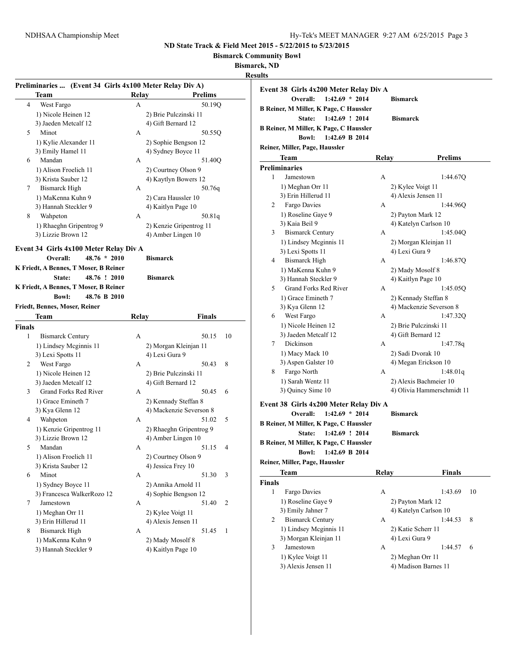**Bismarck Community Bowl**

**Bismarck, ND**

|                 |                                                                      |                 |                         | Resu |
|-----------------|----------------------------------------------------------------------|-----------------|-------------------------|------|
|                 | Preliminaries  (Event 34 Girls 4x100 Meter Relay Div A)              |                 |                         |      |
|                 | Team                                                                 | Relay           | <b>Prelims</b>          |      |
| 4               | West Fargo                                                           | A               | 50.19Q                  |      |
|                 | 1) Nicole Heinen 12                                                  |                 | 2) Brie Pulczinski 11   |      |
|                 | 3) Jaeden Metcalf 12                                                 |                 | 4) Gift Bernard 12      |      |
| 5               | Minot                                                                | A               | 50.55Q                  |      |
|                 | 1) Kylie Alexander 11                                                |                 | 2) Sophie Bengson 12    |      |
|                 | 3) Emily Hamel 11                                                    |                 | 4) Sydney Boyce 11      |      |
| 6               | Mandan                                                               | A               | 51.40Q                  |      |
|                 | 1) Alison Froelich 11                                                |                 | 2) Courtney Olson 9     |      |
|                 | 3) Krista Sauber 12                                                  |                 | 4) Kaytlyn Bowers 12    |      |
| $7\overline{ }$ | <b>Bismarck High</b>                                                 | A               | 50.76q                  |      |
|                 | 1) MaKenna Kuhn 9                                                    |                 | 2) Cara Haussler 10     |      |
|                 | 3) Hannah Steckler 9                                                 |                 | 4) Kaitlyn Page 10      |      |
| 8               | Wahpeton                                                             | A               | 50.81q                  |      |
|                 | 1) Rhaeghn Gripentrog 9                                              |                 | 2) Kenzie Gripentrog 11 |      |
|                 | 3) Lizzie Brown 12                                                   |                 | 4) Amber Lingen 10      |      |
|                 |                                                                      |                 |                         |      |
|                 | Event 34 Girls 4x100 Meter Relay Div A<br>$48.76 * 2010$<br>Overall: | <b>Bismarck</b> |                         |      |
|                 | K Friedt, A Bennes, T Moser, B Reiner                                |                 |                         |      |
|                 | 48.76 ! 2010<br>State:                                               | <b>Bismarck</b> |                         |      |
|                 | K Friedt, A Bennes, T Moser, B Reiner                                |                 |                         |      |
|                 |                                                                      |                 |                         |      |
|                 | <b>Bowl:</b><br>48.76 B 2010                                         |                 |                         |      |
|                 | Friedt, Bennes, Moser, Reiner                                        |                 |                         |      |
| <b>Finals</b>   | Team                                                                 | Relay           | Finals                  |      |
| 1               | <b>Bismarck Century</b>                                              | A               | 50.15<br>10             |      |
|                 | 1) Lindsey Mcginnis 11                                               |                 | 2) Morgan Kleinjan 11   |      |
|                 | 3) Lexi Spotts 11                                                    |                 | 4) Lexi Gura 9          |      |
|                 |                                                                      | A               | 50.43<br>8              |      |
| 2               | West Fargo                                                           |                 |                         |      |
|                 | 1) Nicole Heinen 12                                                  |                 | 2) Brie Pulczinski 11   |      |
|                 | 3) Jaeden Metcalf 12                                                 |                 | 4) Gift Bernard 12      |      |
| 3               | Grand Forks Red River                                                | A               | 50.45<br>6              |      |
|                 | 1) Grace Emineth 7                                                   |                 | 2) Kennady Steffan 8    |      |
|                 | 3) Kya Glenn 12                                                      |                 | 4) Mackenzie Severson 8 |      |
| 4               | Wahpeton                                                             | A               | 5<br>51.02              |      |
|                 | 1) Kenzie Gripentrog 11                                              |                 | 2) Rhaeghn Gripentrog 9 |      |
|                 | 3) Lizzie Brown 12                                                   |                 | 4) Amber Lingen 10      |      |
| 5               | Mandan                                                               | Α               | 51.15<br>4              |      |
|                 | 1) Alison Froelich 11                                                |                 | 2) Courtney Olson 9     |      |
|                 | 3) Krista Sauber 12                                                  |                 | 4) Jessica Frey 10      |      |
| 6               | Minot                                                                | А               | 51.30<br>3              |      |
|                 | 1) Sydney Boyce 11                                                   |                 | 2) Annika Arnold 11     |      |
|                 | 3) Francesca WalkerRozo 12                                           |                 | 4) Sophie Bengson 12    |      |
| 7               | Jamestown                                                            | А               | 51.40<br>2              |      |
|                 | 1) Meghan Orr 11                                                     |                 | 2) Kylee Voigt 11       |      |
|                 | 3) Erin Hillerud 11                                                  |                 | 4) Alexis Jensen 11     |      |
| 8               | <b>Bismarck High</b>                                                 | A               | 51.45<br>1              |      |
|                 | 1) MaKenna Kuhn 9                                                    |                 | 2) Mady Mosolf 8        |      |
|                 | 3) Hannah Steckler 9                                                 |                 | 4) Kaitlyn Page 10      |      |

| ults                                                                   |                                        |                            |
|------------------------------------------------------------------------|----------------------------------------|----------------------------|
| Event 38 Girls 4x200 Meter Relay Div A<br>$1:42.69 * 2014$<br>Overall: | <b>Bismarck</b>                        |                            |
| B Reiner, M Miller, K Page, C Haussler                                 |                                        |                            |
| State:<br>1:42.69 ! 2014                                               | <b>Bismarck</b>                        |                            |
| B Reiner, M Miller, K Page, C Haussler                                 |                                        |                            |
| <b>Bowl:</b><br>1:42.69 B 2014                                         |                                        |                            |
| Reiner, Miller, Page, Haussler                                         |                                        |                            |
| Team                                                                   | Relay                                  | <b>Prelims</b>             |
| <b>Preliminaries</b>                                                   |                                        |                            |
| 1<br>Jamestown                                                         | А                                      | 1:44.67Q                   |
| 1) Meghan Orr 11                                                       | 2) Kylee Voigt 11                      |                            |
| 3) Erin Hillerud 11                                                    | 4) Alexis Jensen 11                    |                            |
| Fargo Davies<br>2                                                      | А                                      | 1:44.96Q                   |
| 1) Roseline Gaye 9                                                     | 2) Payton Mark 12                      |                            |
| 3) Kaia Beil 9                                                         | 4) Katelyn Carlson 10                  |                            |
| <b>Bismarck Century</b><br>3                                           | А                                      | 1:45.04Q                   |
| 1) Lindsey Mcginnis 11                                                 | 2) Morgan Kleinjan 11                  |                            |
| 3) Lexi Spotts 11                                                      | 4) Lexi Gura 9                         |                            |
| <b>Bismarck High</b><br>4                                              | А                                      | 1:46.870                   |
| 1) MaKenna Kuhn 9                                                      | 2) Mady Mosolf 8<br>4) Kaitlyn Page 10 |                            |
| 3) Hannah Steckler 9<br>Grand Forks Red River<br>5                     | А                                      | 1:45.05Q                   |
| 1) Grace Emineth 7                                                     | 2) Kennady Steffan 8                   |                            |
| 3) Kya Glenn 12                                                        | 4) Mackenzie Severson 8                |                            |
| West Fargo<br>6                                                        | A                                      | 1:47.320                   |
| 1) Nicole Heinen 12                                                    | 2) Brie Pulczinski 11                  |                            |
| 3) Jaeden Metcalf 12                                                   | 4) Gift Bernard 12                     |                            |
| Dickinson<br>7                                                         | A                                      | 1:47.78q                   |
| 1) Macy Mack 10                                                        | 2) Sadi Dvorak 10                      |                            |
| 3) Aspen Galster 10                                                    | 4) Megan Erickson 10                   |                            |
| 8<br>Fargo North                                                       | А                                      | 1:48.01q                   |
| 1) Sarah Wentz 11                                                      | 2) Alexis Bachmeier 10                 |                            |
| 3) Quincy Sime 10                                                      |                                        | 4) Olivia Hammerschmidt 11 |
| Event 38 Girls 4x200 Meter Relay Div A                                 |                                        |                            |
| Overall:<br>$1:42.69 * 2014$                                           | <b>Bismarck</b>                        |                            |
| B Reiner, M Miller, K Page, C Haussler                                 |                                        |                            |
| 1:42.69 ! 2014<br>State:                                               | <b>Bismarck</b>                        |                            |
| B Reiner, M Miller, K Page, C Haussler                                 |                                        |                            |
| <b>Bowl:</b><br>1:42.69 B 2014                                         |                                        |                            |
| Reiner, Miller, Page, Haussler                                         |                                        |                            |
| Team                                                                   | Relay                                  | Finals                     |
| <b>Finals</b>                                                          |                                        |                            |
| $\mathbf{1}$<br>Fargo Davies                                           | А                                      | 1:43.69<br>10              |
| 1) Roseline Gave 9                                                     | 2) Payton Mark 12                      |                            |
| 3) Emily Jahner 7                                                      | 4) Katelyn Carlson 10                  |                            |
| <b>Bismarck Century</b><br>2                                           | А                                      | 1:44.53<br>8               |

1) Lindsey Mcginnis 11 2) Katie Scherr 11 3) Morgan Kleinjan 11 4) Lexi Gura 9

3 Jamestown A 1:44.57 6 1) Kylee Voigt 11 2) Meghan Orr 11 3) Alexis Jensen 11 4) Madison Barnes 11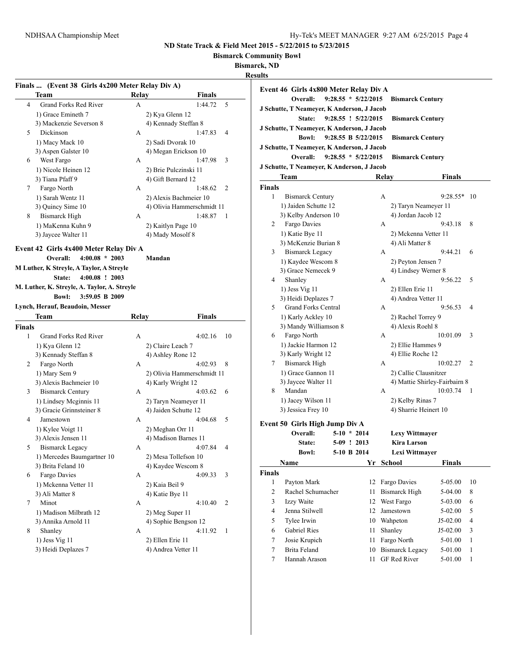**Bismarck Community Bowl**

**Bismarck, ND**

**Results**

|             | Finals  (Event 38 Girls 4x200 Meter Relay Div A)                       |       |                            |
|-------------|------------------------------------------------------------------------|-------|----------------------------|
|             | Team                                                                   | Relay | Finals                     |
| 4           | <b>Grand Forks Red River</b>                                           | A     | 1:44.72<br>5               |
|             | 1) Grace Emineth 7                                                     |       | 2) Kya Glenn 12            |
|             | 3) Mackenzie Severson 8                                                |       | 4) Kennady Steffan 8       |
| 5           | Dickinson                                                              | A     | 1:47.83<br>4               |
|             | 1) Macy Mack 10                                                        |       | 2) Sadi Dvorak 10          |
|             | 3) Aspen Galster 10                                                    |       | 4) Megan Erickson 10       |
| 6           | West Fargo                                                             | A     | 1:47.98<br>3               |
|             | 1) Nicole Heinen 12                                                    |       | 2) Brie Pulczinski 11      |
|             | 3) Tiana Pfaff 9                                                       |       | 4) Gift Bernard 12         |
| 7           | Fargo North                                                            | A     | 1:48.62<br>2               |
|             | 1) Sarah Wentz 11                                                      |       | 2) Alexis Bachmeier 10     |
|             | 3) Quincy Sime 10                                                      |       | 4) Olivia Hammerschmidt 11 |
| 8           | <b>Bismarck High</b>                                                   | A     | 1:48.87<br>-1              |
|             | 1) MaKenna Kuhn 9                                                      |       | 2) Kaitlyn Page 10         |
|             | 3) Jaycee Walter 11                                                    |       | 4) Mady Mosolf 8           |
|             | Event 42 Girls 4x400 Meter Relay Div A<br>$4:00.08 * 2003$<br>Overall: |       | Mandan                     |
|             | M Luther, K Streyle, A Taylor, A Streyle                               |       |                            |
|             | $4:00.08$ ! 2003<br>State:                                             |       |                            |
|             | M. Luther, K. Streyle, A. Taylor, A. Streyle                           |       |                            |
|             | <b>Bowl:</b><br>3:59.05 B 2009                                         |       |                            |
|             | Lynch, Herauf, Beaudoin, Messer                                        |       |                            |
|             |                                                                        |       |                            |
|             | <b>Team</b>                                                            | Relay | Finals                     |
|             |                                                                        |       |                            |
| 1           | Grand Forks Red River                                                  | A     | 4:02.16<br>10              |
|             | 1) Kya Glenn 12                                                        |       | 2) Claire Leach 7          |
|             | 3) Kennady Steffan 8                                                   |       | 4) Ashley Rone 12          |
| Finals<br>2 | Fargo North                                                            | A     | 4:02.93<br>8               |
|             | 1) Mary Sem 9                                                          |       | 2) Olivia Hammerschmidt 11 |
|             | 3) Alexis Bachmeier 10                                                 |       | 4) Karly Wright 12         |
| 3           | <b>Bismarck Century</b>                                                | A     | 4:03.62<br>6               |
|             | 1) Lindsey Mcginnis 11                                                 |       | 2) Taryn Neameyer 11       |
|             | 3) Gracie Grinnsteiner 8                                               |       | 4) Jaiden Schutte 12       |
| 4           | Jamestown                                                              | A     | 4:04.68<br>5               |
|             | 1) Kylee Voigt 11                                                      |       | 2) Meghan Orr 11           |
|             | 3) Alexis Jensen 11                                                    |       | 4) Madison Barnes 11       |
| 5           | <b>Bismarck Legacy</b>                                                 | A     | 4:07.84<br>4               |
|             | 1) Mercedes Baumgartner 10                                             |       | 2) Mesa Tollefson 10       |
|             | 3) Brita Feland 10                                                     |       | 4) Kaydee Wescom 8         |
| 6           | Fargo Davies                                                           | A     | 4:09.33<br>3               |
|             | 1) Mckenna Vetter 11                                                   |       | 2) Kaia Beil 9             |
|             | 3) Ali Matter 8                                                        |       | 4) Katie Bye 11            |
| 7           | Minot                                                                  | A     | 2<br>4:10.40               |
|             | 1) Madison Milbrath 12                                                 |       | 2) Meg Super 11            |
|             | 3) Annika Arnold 11                                                    |       | 4) Sophie Bengson 12       |
| 8           | Shanley                                                                | A     | 4:11.92<br>1               |
|             | 1) Jess Vig 11                                                         |       | 2) Ellen Erie 11           |

|                | Event 46 Girls 4x800 Meter Relay Div A               |                       |    |       |                               |               |              |
|----------------|------------------------------------------------------|-----------------------|----|-------|-------------------------------|---------------|--------------|
|                | Overall:                                             | $9:28.55 * 5/22/2015$ |    |       | <b>Bismarck Century</b>       |               |              |
|                | J Schutte, T Neameyer, K Anderson, J Jacob<br>State: | 9:28.55 ! 5/22/2015   |    |       |                               |               |              |
|                | J Schutte, T Neameyer, K Anderson, J Jacob           |                       |    |       | <b>Bismarck Century</b>       |               |              |
|                | <b>Bowl:</b>                                         | 9:28.55 B 5/22/2015   |    |       | <b>Bismarck Century</b>       |               |              |
|                | J Schutte, T Neameyer, K Anderson, J Jacob           |                       |    |       |                               |               |              |
|                | Overall:                                             | $9:28.55 * 5/22/2015$ |    |       | <b>Bismarck Century</b>       |               |              |
|                | J Schutte, T Neameyer, K Anderson, J Jacob           |                       |    |       |                               |               |              |
|                | Team                                                 |                       |    | Relay |                               | Finals        |              |
| Finals         |                                                      |                       |    |       |                               |               |              |
| 1              | <b>Bismarck Century</b>                              |                       |    | A     |                               | $9:28.55*$    | 10           |
|                | 1) Jaiden Schutte 12                                 |                       |    |       | 2) Taryn Neameyer 11          |               |              |
|                | 3) Kelby Anderson 10                                 |                       |    |       | 4) Jordan Jacob 12            |               |              |
| 2              | Fargo Davies                                         |                       |    | А     |                               | 9:43.18       | 8            |
|                | 1) Katie Bye 11                                      |                       |    |       | 2) Mckenna Vetter 11          |               |              |
|                | 3) McKenzie Burian 8                                 |                       |    |       | 4) Ali Matter 8               |               |              |
| 3              | <b>Bismarck Legacy</b>                               |                       |    | А     |                               | 9:44.21       | 6            |
|                | 1) Kaydee Wescom 8                                   |                       |    |       | 2) Peyton Jensen 7            |               |              |
|                | 3) Grace Nemecek 9                                   |                       |    |       | 4) Lindsey Werner 8           |               |              |
| 4              | Shanley                                              |                       |    | А     |                               | 9:56.22       | 5            |
|                | 1) Jess Vig 11                                       |                       |    |       | 2) Ellen Erie 11              |               |              |
|                | 3) Heidi Deplazes 7                                  |                       |    |       | 4) Andrea Vetter 11           |               |              |
| 5              | <b>Grand Forks Central</b>                           |                       |    | А     |                               | 9:56.53       | 4            |
|                | 1) Karly Ackley 10                                   |                       |    |       | 2) Rachel Torrey 9            |               |              |
|                | 3) Mandy Williamson 8                                |                       |    |       | 4) Alexis Roehl 8             |               |              |
| 6              | Fargo North                                          |                       |    | А     |                               | 10:01.09      | 3            |
|                | 1) Jackie Harmon 12                                  |                       |    |       | 2) Ellie Hammes 9             |               |              |
|                | 3) Karly Wright 12                                   |                       |    |       | 4) Ellie Roche 12             |               |              |
| 7              | <b>Bismarck High</b>                                 |                       |    | А     |                               | 10:02.27      | 2            |
|                | 1) Grace Gannon 11                                   |                       |    |       | 2) Callie Clausnitzer         |               |              |
|                | 3) Jaycee Walter 11                                  |                       |    |       | 4) Mattie Shirley-Fairbairn 8 |               |              |
| 8              | Mandan                                               |                       |    | А     |                               | 10:03.74      | 1            |
|                | 1) Jacey Wilson 11                                   |                       |    |       | 2) Kelby Rinas 7              |               |              |
|                | 3) Jessica Frey 10                                   |                       |    |       | 4) Sharrie Heinert 10         |               |              |
|                | Event 50 Girls High Jump Div A                       |                       |    |       |                               |               |              |
|                | Overall:                                             | $5-10 * 2014$         |    |       | <b>Lexy Wittmayer</b>         |               |              |
|                | <b>State:</b>                                        | 5-09 ! 2013           |    |       | <b>Kira Larson</b>            |               |              |
|                | <b>Bowl:</b>                                         | 5-10 B 2014           |    |       | <b>Lexi Wittmaver</b>         |               |              |
|                | Name                                                 |                       | Yr |       | School                        | <b>Finals</b> |              |
| <b>Finals</b>  |                                                      |                       |    |       |                               |               |              |
| $\mathbf{1}$   | Payton Mark                                          |                       | 12 |       | Fargo Davies                  | 5-05.00       | 10           |
| $\overline{c}$ | Rachel Schumacher                                    |                       | 11 |       | <b>Bismarck High</b>          | 5-04.00       | 8            |
| 3              | Izzy Waite                                           |                       | 12 |       | West Fargo                    | 5-03.00       | 6            |
| $\overline{4}$ | Jenna Stilwell                                       |                       | 12 |       | Jamestown                     | 5-02.00       | 5            |
| 5              | Tylee Irwin                                          |                       | 10 |       | Wahpeton                      | J5-02.00      | 4            |
| 6              | Gabriel Ries                                         |                       | 11 |       | Shanley                       | J5-02.00      | 3            |
| 7              | Josie Krupich                                        |                       | 11 |       | Fargo North                   | 5-01.00       | $\mathbf{1}$ |
| 7              | Brita Feland                                         |                       | 10 |       | <b>Bismarck Legacy</b>        | 5-01.00       | $\mathbf{1}$ |
| 7              | Hannah Arason                                        |                       | 11 |       | <b>GF Red River</b>           | 5-01.00       | 1            |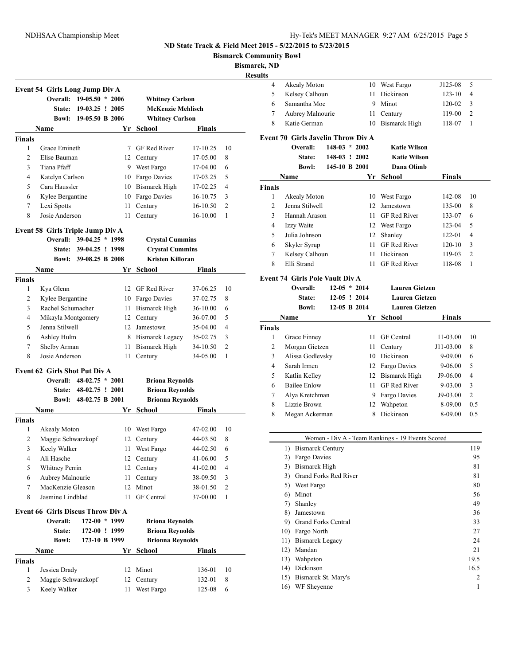**Bismarck Community Bowl**

**Bismarck, ND**

|                     | Event 54 Girls Long Jump Div A<br><b>Overall:</b> | $19-05.50 * 2006$        |          | <b>Whitney Carlson</b>     |                      |                     |
|---------------------|---------------------------------------------------|--------------------------|----------|----------------------------|----------------------|---------------------|
|                     | <b>State:</b>                                     | $19-03.25$ ! 2005        |          | <b>McKenzie Mehlisch</b>   |                      |                     |
|                     |                                                   | Bowl: 19-05.50 B 2006    |          | <b>Whitney Carlson</b>     |                      |                     |
|                     | Name                                              |                          |          | Yr School                  | <b>Finals</b>        |                     |
| <b>Finals</b>       |                                                   |                          |          |                            |                      |                     |
| 1                   | Grace Emineth                                     |                          |          | 7 GF Red River             | 17-10.25             | 10                  |
| 2                   | Elise Bauman                                      |                          |          | 12 Century                 | 17-05.00             | 8                   |
| 3                   | Tiana Pfaff                                       |                          |          | 9 West Fargo               | 17-04.00             | 6                   |
| $\overline{4}$      | Katelyn Carlson                                   |                          | 10       | Fargo Davies               | 17-03.25             | 5                   |
| 5                   | Cara Haussler                                     |                          | 10       | <b>Bismarck High</b>       | 17-02.25             | 4                   |
| 6                   | Kylee Bergantine                                  |                          | 10       | Fargo Davies               | 16-10.75             | 3                   |
| 7                   | Lexi Spotts                                       |                          | 11       | Century                    | 16-10.50             | $\overline{c}$      |
| 8                   | Josie Anderson                                    |                          | 11       | Century                    | 16-10.00             | 1                   |
|                     |                                                   |                          |          |                            |                      |                     |
|                     | Event 58 Girls Triple Jump Div A                  |                          |          |                            |                      |                     |
|                     |                                                   | Overall: 39-04.25 * 1998 |          | <b>Crystal Cummins</b>     |                      |                     |
|                     | <b>State:</b>                                     | 39-04.25 ! 1998          |          | <b>Crystal Cummins</b>     |                      |                     |
|                     |                                                   | Bowl: 39-08.25 B 2008    |          | <b>Kristen Killoran</b>    |                      |                     |
|                     | Name                                              |                          |          | Yr School                  | Finals               |                     |
| <b>Finals</b>       |                                                   |                          |          |                            |                      |                     |
| 1                   | Kya Glenn                                         |                          | 12       | GF Red River               | 37-06.25             | 10                  |
| 2                   | Kylee Bergantine                                  |                          | 10       | Fargo Davies               | 37-02.75             | 8                   |
| 3                   | Rachel Schumacher                                 |                          | 11       | <b>Bismarck High</b>       | 36-10.00             | 6                   |
| 4                   | Mikayla Montgomery                                |                          | 12       | Century                    | 36-07.00             | 5                   |
| 5                   | Jenna Stilwell                                    |                          | 12       | Jamestown                  | 35-04.00             | 4                   |
| 6                   | Ashley Hulm                                       |                          |          | 8 Bismarck Legacy          | 35-02.75             | 3                   |
| 7                   | Shelby Arman                                      |                          | 11       | Bismarck High              | 34-10.50             | $\overline{2}$      |
| 8                   | Josie Anderson                                    |                          | 11       | Century                    | 34-05.00             | 1                   |
|                     | <b>Event 62 Girls Shot Put Div A</b>              |                          |          |                            |                      |                     |
|                     |                                                   | Overall: 48-02.75 * 2001 |          | <b>Briona Reynolds</b>     |                      |                     |
|                     |                                                   | State: 48-02.75 ! 2001   |          | <b>Briona Reynolds</b>     |                      |                     |
|                     |                                                   |                          |          |                            |                      |                     |
|                     | Bowl:                                             | 48-02.75 B 2001          |          |                            |                      |                     |
|                     |                                                   |                          |          | <b>Brionna Reynolds</b>    |                      |                     |
|                     | Name                                              |                          |          | Yr School                  | Finals               |                     |
| <b>Finals</b><br>1  | Akealy Moton                                      |                          | 10       | West Fargo                 | 47-02.00             | 10                  |
| 2                   |                                                   |                          | 12       | Century                    | 44-03.50             | 8                   |
| 3                   | Maggie Schwarzkopf                                |                          | 11       | West Fargo                 | 44-02.50             | 6                   |
| 4                   | Keely Walker<br>Ali Hasche                        |                          | 12       | Century                    | 41-06.00             | 5                   |
| 5                   | <b>Whitney Perrin</b>                             |                          | 12       | Century                    | 41-02.00             | 4                   |
| 6                   |                                                   |                          | 11       |                            |                      |                     |
| 7                   | Aubrey Malnourie<br>MacKenzie Gleason             |                          | 12       | Century                    | 38-09.50<br>38-01.50 | 3<br>$\mathfrak{2}$ |
| 8                   | Jasmine Lindblad                                  |                          | 11       | Minot<br><b>GF</b> Central |                      |                     |
|                     |                                                   |                          |          |                            | 37-00.00             | $\mathbf{1}$        |
|                     | <b>Event 66 Girls Discus Throw Div A</b>          |                          |          |                            |                      |                     |
|                     | Overall:                                          | 172-00 * 1999            |          | <b>Briona Reynolds</b>     |                      |                     |
|                     | State:                                            | 172-00 ! 1999            |          | <b>Briona Reynolds</b>     |                      |                     |
|                     | <b>Bowl:</b>                                      | 173-10 B 1999            |          | <b>Brionna Reynolds</b>    |                      |                     |
|                     | Name                                              |                          | Yr       | <b>School</b>              | <b>Finals</b>        |                     |
| Finals              |                                                   |                          |          |                            |                      |                     |
| 1<br>$\overline{c}$ | Jessica Drady<br>Maggie Schwarzkopf               |                          | 12<br>12 | Minot<br>Century           | 136-01<br>132-01     | 10<br>8             |

| ults          |                                           |                 |                |                                                  |               |                |
|---------------|-------------------------------------------|-----------------|----------------|--------------------------------------------------|---------------|----------------|
| 4             | Akealy Moton                              |                 |                | 10 West Fargo                                    | J125-08       | 5              |
| 5             | Kelsey Calhoun                            |                 | 11             | Dickinson                                        | $123 - 10$    | 4              |
| 6             | Samantha Moe                              |                 |                | 9 Minot                                          | 120-02        | 3              |
| 7             | Aubrey Malnourie                          |                 | 11             | Century                                          | 119-00        | $\overline{c}$ |
| 8             | Katie German                              |                 | 10             | <b>Bismarck High</b>                             | 118-07        | 1              |
|               |                                           |                 |                |                                                  |               |                |
|               | <b>Event 70 Girls Javelin Throw Div A</b> |                 |                |                                                  |               |                |
|               | Overall:                                  | $148-03 * 2002$ |                | <b>Katie Wilson</b>                              |               |                |
|               | State:                                    | 148-03 ! 2002   |                | <b>Katie Wilson</b>                              |               |                |
|               | <b>Bowl:</b>                              | 145-10 B 2001   |                | Dana Olimb                                       |               |                |
|               | Name                                      |                 |                | Yr School                                        | Finals        |                |
| <b>Finals</b> |                                           |                 |                |                                                  |               |                |
| 1             | Akealy Moton                              |                 |                | 10 West Fargo                                    | 142-08        | 10             |
| 2             | Jenna Stilwell                            |                 | 12             | Jamestown                                        | 135-00        | 8              |
| 3             | Hannah Arason                             |                 |                | 11 GF Red River                                  | 133-07        | 6              |
| 4             | Izzy Waite                                |                 |                | 12 West Fargo                                    | 123-04        | 5              |
| 5             | Julia Johnson                             |                 |                | 12 Shanley                                       | 122-01        | $\overline{4}$ |
| 6             | Skyler Syrup                              |                 | 11             | GF Red River                                     | $120 - 10$    | 3              |
| 7             | Kelsey Calhoun                            |                 | 11             | Dickinson                                        | 119-03        | $\overline{2}$ |
| 8             | Elli Strand                               |                 | 11             | <b>GF</b> Red River                              | 118-08        | 1              |
|               | <b>Event 74 Girls Pole Vault Div A</b>    |                 |                |                                                  |               |                |
|               | Overall:                                  |                 | $12-05 * 2014$ | <b>Lauren Gietzen</b>                            |               |                |
|               | State:                                    |                 | $12-05$ ! 2014 | <b>Lauren Gietzen</b>                            |               |                |
|               | <b>Bowl:</b>                              |                 | 12-05 B 2014   | <b>Lauren Gietzen</b>                            |               |                |
|               | Name                                      |                 | Yr             | School                                           | <b>Finals</b> |                |
| <b>Finals</b> |                                           |                 |                |                                                  |               |                |
| 1             | Grace Finney                              |                 | 11             | GF Central                                       | 11-03.00      | 10             |
| 2             | Morgan Gietzen                            |                 | 11             | Century                                          | J11-03.00     | 8              |
| 3             | Alissa Godlevsky                          |                 |                | 10 Dickinson                                     | 9-09.00       | 6              |
| 4             | Sarah Irmen                               |                 |                | 12 Fargo Davies                                  | 9-06.00       | 5              |
| 5             | Katlin Kelley                             |                 |                | 12 Bismarck High                                 | J9-06.00      | $\overline{4}$ |
| 6             | <b>Bailee Enlow</b>                       |                 |                | 11 GF Red River                                  | 9-03.00       | 3              |
| 7             | Alya Kretchman                            |                 |                | 9 Fargo Davies                                   | J9-03.00      | $\overline{c}$ |
| 8             | Lizzie Brown                              |                 |                | 12 Wahpeton                                      | 8-09.00       | 0.5            |
| 8             | Megan Ackerman                            |                 | 8              | Dickinson                                        | 8-09.00       | 0.5            |
|               |                                           |                 |                |                                                  |               |                |
|               |                                           |                 |                |                                                  |               |                |
|               |                                           |                 |                | Women - Div A - Team Rankings - 19 Events Scored |               |                |
|               | 1)<br><b>Bismarck Century</b>             |                 |                |                                                  |               | 119            |
|               | 2) Fargo Davies                           |                 |                |                                                  |               | 95             |
|               | 3) Bismarck High                          |                 |                |                                                  |               | 81             |
|               | 3) Grand Forks Red River                  |                 |                |                                                  |               | 81             |
|               | 5) West Fargo                             |                 |                |                                                  |               | 80             |
|               | 6) Minot                                  |                 |                |                                                  |               | 56             |
|               | 7) Shanley                                |                 |                |                                                  |               | 49             |
|               | 8) Jamestown                              |                 |                |                                                  |               | 36             |
|               | 9) Grand Forks Central                    |                 |                |                                                  |               | 33             |
|               | 10) Fargo North                           |                 |                |                                                  |               | 27             |
|               | 11) Bismarck Legacy                       |                 |                |                                                  |               | 24             |
|               | 12) Mandan                                |                 |                |                                                  |               | 21             |
|               | 13) Wahpeton                              |                 |                |                                                  |               | 19.5           |
|               | 14) Dickinson                             |                 |                |                                                  |               | 16.5<br>2      |
|               | 15) Bismarck St. Mary's                   |                 |                |                                                  |               | 1              |
|               | 16) WF Sheyenne                           |                 |                |                                                  |               |                |